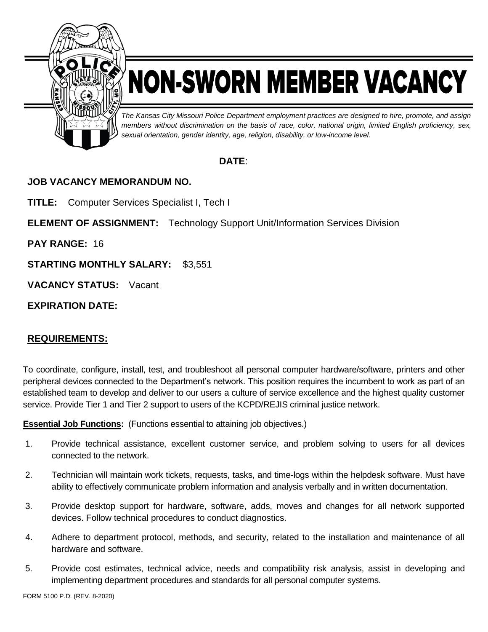

# NON-SWORN MEMBER VACANCY

*The Kansas City Missouri Police Department employment practices are designed to hire, promote, and assign members without discrimination on the basis of race, color, national origin, limited English proficiency, sex, sexual orientation, gender identity, age, religion, disability, or low-income level.*

## **DATE**:

## **JOB VACANCY MEMORANDUM NO.**

**TITLE:** Computer Services Specialist I, Tech I

**ELEMENT OF ASSIGNMENT:** Technology Support Unit/Information Services Division

**PAY RANGE:** 16

**STARTING MONTHLY SALARY:** \$3,551

**VACANCY STATUS:** Vacant

**EXPIRATION DATE:**

## **REQUIREMENTS:**

To coordinate, configure, install, test, and troubleshoot all personal computer hardware/software, printers and other peripheral devices connected to the Department's network. This position requires the incumbent to work as part of an established team to develop and deliver to our users a culture of service excellence and the highest quality customer service. Provide Tier 1 and Tier 2 support to users of the KCPD/REJIS criminal justice network.

**Essential Job Functions:** (Functions essential to attaining job objectives.)

- 1. Provide technical assistance, excellent customer service, and problem solving to users for all devices connected to the network.
- 2. Technician will maintain work tickets, requests, tasks, and time-logs within the helpdesk software. Must have ability to effectively communicate problem information and analysis verbally and in written documentation.
- 3. Provide desktop support for hardware, software, adds, moves and changes for all network supported devices. Follow technical procedures to conduct diagnostics.
- 4. Adhere to department protocol, methods, and security, related to the installation and maintenance of all hardware and software.
- 5. Provide cost estimates, technical advice, needs and compatibility risk analysis, assist in developing and implementing department procedures and standards for all personal computer systems.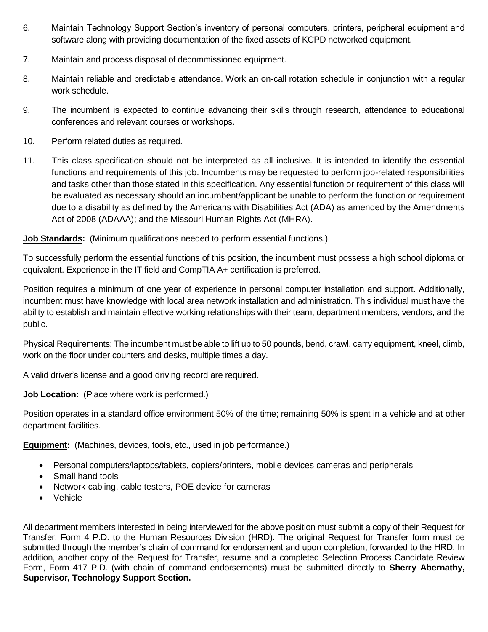- 6. Maintain Technology Support Section's inventory of personal computers, printers, peripheral equipment and software along with providing documentation of the fixed assets of KCPD networked equipment.
- 7. Maintain and process disposal of decommissioned equipment.
- 8. Maintain reliable and predictable attendance. Work an on-call rotation schedule in conjunction with a regular work schedule.
- 9. The incumbent is expected to continue advancing their skills through research, attendance to educational conferences and relevant courses or workshops.
- 10. Perform related duties as required.
- 11. This class specification should not be interpreted as all inclusive. It is intended to identify the essential functions and requirements of this job. Incumbents may be requested to perform job-related responsibilities and tasks other than those stated in this specification. Any essential function or requirement of this class will be evaluated as necessary should an incumbent/applicant be unable to perform the function or requirement due to a disability as defined by the Americans with Disabilities Act (ADA) as amended by the Amendments Act of 2008 (ADAAA); and the Missouri Human Rights Act (MHRA).

**Job Standards:** (Minimum qualifications needed to perform essential functions.)

To successfully perform the essential functions of this position, the incumbent must possess a high school diploma or equivalent. Experience in the IT field and CompTIA A+ certification is preferred.

Position requires a minimum of one year of experience in personal computer installation and support. Additionally, incumbent must have knowledge with local area network installation and administration. This individual must have the ability to establish and maintain effective working relationships with their team, department members, vendors, and the public.

Physical Requirements: The incumbent must be able to lift up to 50 pounds, bend, crawl, carry equipment, kneel, climb, work on the floor under counters and desks, multiple times a day.

A valid driver's license and a good driving record are required.

## **Job Location:** (Place where work is performed.)

Position operates in a standard office environment 50% of the time; remaining 50% is spent in a vehicle and at other department facilities.

**Equipment:** (Machines, devices, tools, etc., used in job performance.)

- Personal computers/laptops/tablets, copiers/printers, mobile devices cameras and peripherals
- Small hand tools
- Network cabling, cable testers, POE device for cameras
- Vehicle

All department members interested in being interviewed for the above position must submit a copy of their Request for Transfer, Form 4 P.D. to the Human Resources Division (HRD). The original Request for Transfer form must be submitted through the member's chain of command for endorsement and upon completion, forwarded to the HRD. In addition, another copy of the Request for Transfer, resume and a completed Selection Process Candidate Review Form, Form 417 P.D. (with chain of command endorsements) must be submitted directly to **Sherry Abernathy, Supervisor, Technology Support Section.**